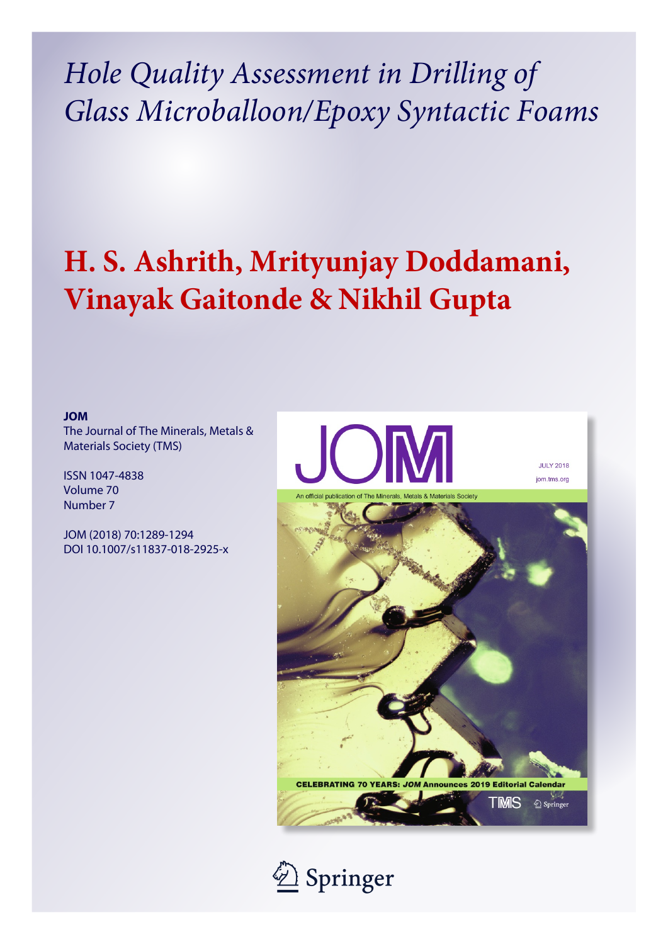*Hole Quality Assessment in Drilling of Glass Microballoon/Epoxy Syntactic Foams*

# **H. S. Ashrith, Mrityunjay Doddamani, Vinayak Gaitonde & Nikhil Gupta**

**JOM**

The Journal of The Minerals, Metals & Materials Society (TMS)

ISSN 1047-4838 Volume 70 Number 7

JOM (2018) 70:1289-1294 DOI 10.1007/s11837-018-2925-x



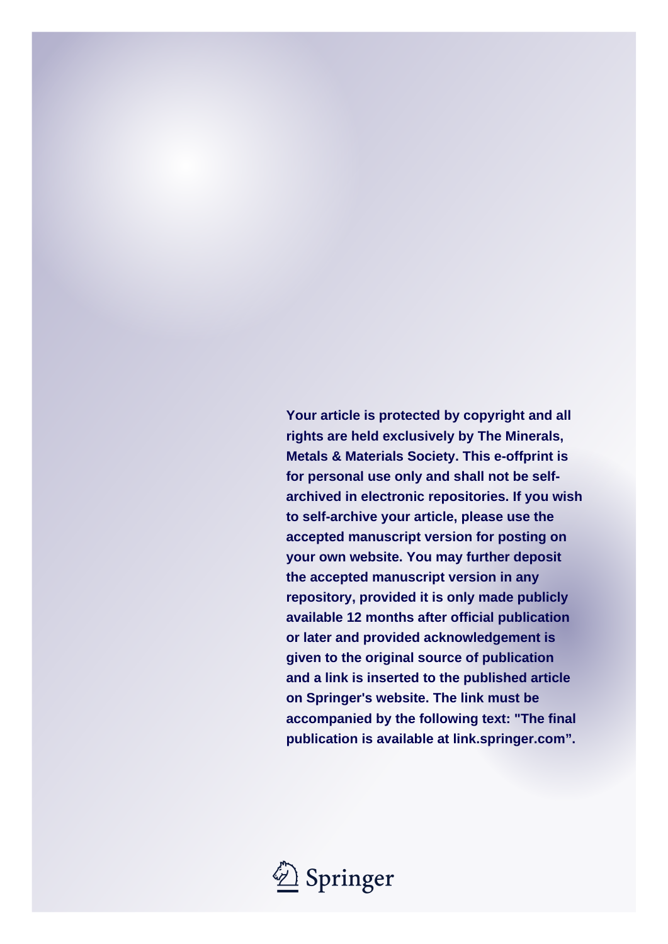**Your article is protected by copyright and all rights are held exclusively by The Minerals, Metals & Materials Society. This e-offprint is for personal use only and shall not be selfarchived in electronic repositories. If you wish to self-archive your article, please use the accepted manuscript version for posting on your own website. You may further deposit the accepted manuscript version in any repository, provided it is only made publicly available 12 months after official publication or later and provided acknowledgement is given to the original source of publication and a link is inserted to the published article on Springer's website. The link must be accompanied by the following text: "The final publication is available at link.springer.com".**

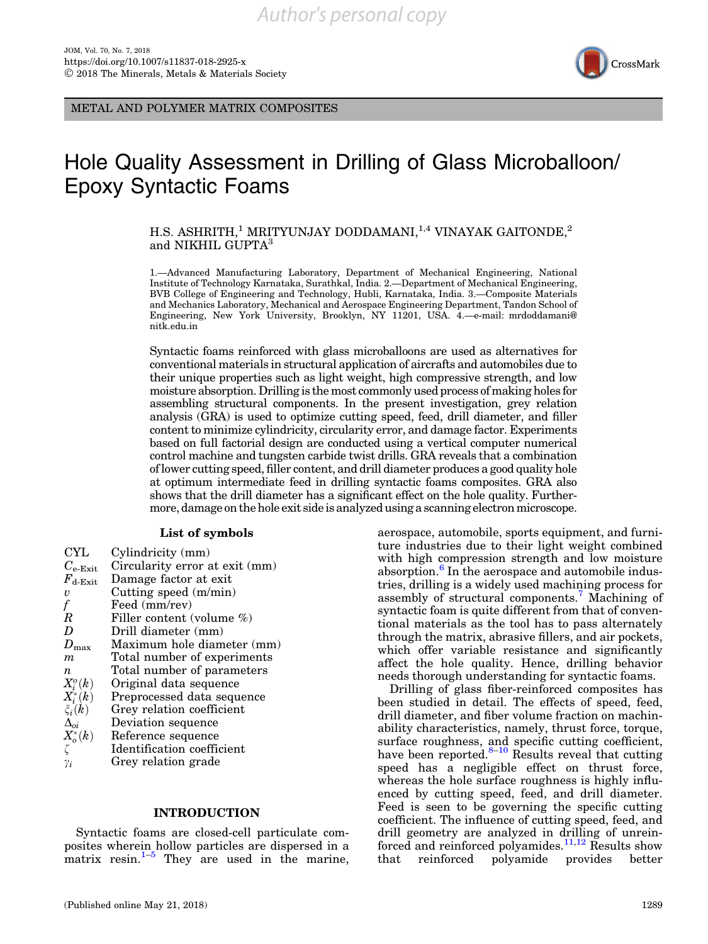

METAL AND POLYMER MATRIX COMPOSITES

# Hole Quality Assessment in Drilling of Glass Microballoon/ Epoxy Syntactic Foams

H.S. ASHRITH,<sup>1</sup> MRITYUNJAY DODDAMANI,<sup>1,4</sup> VINAYAK GAITONDE,<sup>2</sup> and NIKHIL GUPTA<sup>3</sup>

1.—Advanced Manufacturing Laboratory, Department of Mechanical Engineering, National Institute of Technology Karnataka, Surathkal, India. 2.—Department of Mechanical Engineering, BVB College of Engineering and Technology, Hubli, Karnataka, India. 3.—Composite Materials and Mechanics Laboratory, Mechanical and Aerospace Engineering Department, Tandon School of Engineering, New York University, Brooklyn, NY 11201, USA. 4.—e-mail: mrdoddamani@ nitk.edu.in

Syntactic foams reinforced with glass microballoons are used as alternatives for conventional materials in structural application of aircrafts and automobiles due to their unique properties such as light weight, high compressive strength, and low moisture absorption. Drilling is the most commonly used process of making holes for assembling structural components. In the present investigation, grey relation analysis (GRA) is used to optimize cutting speed, feed, drill diameter, and filler content to minimize cylindricity, circularity error, and damage factor. Experiments based on full factorial design are conducted using a vertical computer numerical control machine and tungsten carbide twist drills. GRA reveals that a combination of lower cutting speed, filler content, and drill diameter produces a good quality hole at optimum intermediate feed in drilling syntactic foams composites. GRA also shows that the drill diameter has a significant effect on the hole quality. Furthermore, damage on the hole exit side is analyzed using a scanning electron microscope.

#### List of symbols

| Cylindricity (mm)              |
|--------------------------------|
| Circularity error at exit (mm) |
| Damage factor at exit          |
| Cutting speed $(m/min)$        |
| Feed (mm/rev)                  |
| Filler content (volume %)      |
| Drill diameter (mm)            |
| Maximum hole diameter (mm)     |
| Total number of experiments    |
| Total number of parameters     |
| Original data sequence         |
| Preprocessed data sequence     |
| Grey relation coefficient      |
| Deviation sequence             |
| Reference sequence             |
| Identification coefficient     |
| Grey relation grade            |
|                                |

# INTRODUCTION

Syntactic foams are closed-cell particulate composites wherein hollow particles are dispersed in a matrix resin. $1-5$  $1-5$  $1-5$  They are used in the marine,

tional materials as the tool has to pass alternately through the matrix, abrasive fillers, and air pockets, which offer variable resistance and significantly affect the hole quality. Hence, drilling behavior needs thorough understanding for syntactic foams. Drilling of glass fiber-reinforced composites has been studied in detail. The effects of speed, feed, drill diameter, and fiber volume fraction on machinability characteristics, namely, thrust force, torque,

surface roughness, and specific cutting coefficient, have been reported. $8-10$  Results reveal that cutting speed has a negligible effect on thrust force, whereas the hole surface roughness is highly influenced by cutting speed, feed, and drill diameter. Feed is seen to be governing the specific cutting coefficient. The influence of cutting speed, feed, and drill geometry are analyzed in drilling of unrein-forced and reinforced polyamides.<sup>[11,12](#page-7-0)</sup> Results show that reinforced polyamide provides better

aerospace, automobile, sports equipment, and furniture industries due to their light weight combined with high compression strength and low moisture absorption. $\frac{6}{5}$  $\frac{6}{5}$  $\frac{6}{5}$  In the aerospace and automobile industries, drilling is a widely used machining process for assembly of structural components.[7](#page-7-0) Machining of syntactic foam is quite different from that of conven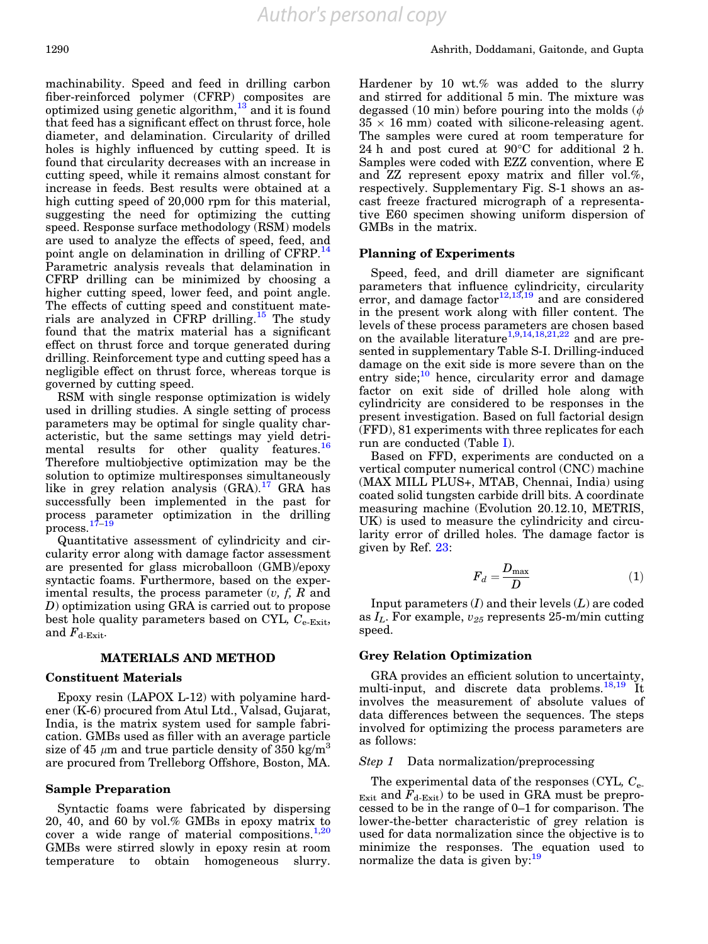machinability. Speed and feed in drilling carbon fiber-reinforced polymer (CFRP) composites are optimized using genetic algorithm, $^{13}$  $^{13}$  $^{13}$  and it is found that feed has a significant effect on thrust force, hole diameter, and delamination. Circularity of drilled holes is highly influenced by cutting speed. It is found that circularity decreases with an increase in cutting speed, while it remains almost constant for increase in feeds. Best results were obtained at a high cutting speed of 20,000 rpm for this material, suggesting the need for optimizing the cutting speed. Response surface methodology (RSM) models are used to analyze the effects of speed, feed, and point angle on delamination in drilling of CFRP.<sup>[14](#page-7-0)</sup> Parametric analysis reveals that delamination in CFRP drilling can be minimized by choosing a higher cutting speed, lower feed, and point angle. The effects of cutting speed and constituent materials are analyzed in CFRP drilling.<sup>15</sup> The study found that the matrix material has a significant effect on thrust force and torque generated during drilling. Reinforcement type and cutting speed has a negligible effect on thrust force, whereas torque is governed by cutting speed.

RSM with single response optimization is widely used in drilling studies. A single setting of process parameters may be optimal for single quality characteristic, but the same settings may yield detri-mental results for other quality features.<sup>[16](#page-7-0)</sup> Therefore multiobjective optimization may be the solution to optimize multiresponses simultaneously like in grey relation analysis  $(GRA).<sup>17</sup> GRA$  $(GRA).<sup>17</sup> GRA$  $(GRA).<sup>17</sup> GRA$  has successfully been implemented in the past for process parameter optimization in the drilling process.[17–19](#page-7-0)

Quantitative assessment of cylindricity and circularity error along with damage factor assessment are presented for glass microballoon (GMB)/epoxy syntactic foams. Furthermore, based on the experimental results, the process parameter  $(v, f, R$  and D) optimization using GRA is carried out to propose best hole quality parameters based on CYL,  $C_{e\text{-}Exit}$ , and  $F_{\text{d-Ext}}$ .

# MATERIALS AND METHOD

#### Constituent Materials

Epoxy resin (LAPOX L-12) with polyamine hardener (K-6) procured from Atul Ltd., Valsad, Gujarat, India, is the matrix system used for sample fabrication. GMBs used as filler with an average particle size of 45  $\mu$ m and true particle density of 350 kg/m<sup>3</sup> are procured from Trelleborg Offshore, Boston, MA.

# Sample Preparation

Syntactic foams were fabricated by dispersing 20, 40, and 60 by vol.% GMBs in epoxy matrix to cover a wide range of material compositions. $1,20$ GMBs were stirred slowly in epoxy resin at room temperature to obtain homogeneous slurry.

Hardener by 10 wt.% was added to the slurry and stirred for additional 5 min. The mixture was degassed (10 min) before pouring into the molds ( $\phi$  $35 \times 16$  mm) coated with silicone-releasing agent. The samples were cured at room temperature for 24 h and post cured at  $90^{\circ}$ C for additional 2 h. Samples were coded with EZZ convention, where E and ZZ represent epoxy matrix and filler vol.%, respectively. Supplementary Fig. S-1 shows an ascast freeze fractured micrograph of a representative E60 specimen showing uniform dispersion of GMBs in the matrix.

#### Planning of Experiments

Speed, feed, and drill diameter are significant parameters that influence cylindricity, circularity error, and damage factor $12,13,19$  and are considered in the present work along with filler content. The levels of these process parameters are chosen based on the available literature<sup>[1,9,14](#page-7-0),[18,21,22](#page-7-0)</sup> and are presented in supplementary Table S-I. Drilling-induced damage on the exit side is more severe than on the entry side;<sup>[10](#page-7-0)</sup> hence, circularity error and damage factor on exit side of drilled hole along with cylindricity are considered to be responses in the present investigation. Based on full factorial design (FFD), 81 experiments with three replicates for each run are conducted (Table [I\)](#page-4-0).

Based on FFD, experiments are conducted on a vertical computer numerical control (CNC) machine (MAX MILL PLUS+, MTAB, Chennai, India) using coated solid tungsten carbide drill bits. A coordinate measuring machine (Evolution 20.12.10, METRIS, UK) is used to measure the cylindricity and circularity error of drilled holes. The damage factor is given by Ref. [23:](#page-7-0)

$$
F_d = \frac{D_{\text{max}}}{D} \tag{1}
$$

Input parameters  $(I)$  and their levels  $(L)$  are coded as  $I_L$ . For example,  $v_{25}$  represents 25-m/min cutting speed.

# Grey Relation Optimization

GRA provides an efficient solution to uncertainty, multi-input, and discrete data problems.<sup>[18,19](#page-7-0)</sup> It involves the measurement of absolute values of data differences between the sequences. The steps involved for optimizing the process parameters are as follows:

#### Step 1 Data normalization/preprocessing

The experimental data of the responses (CYL,  $C_{e^-}$ )  $_{\text{Exit}}$  and  $F_{\text{d-Exit}}$  to be used in GRA must be preprocessed to be in the range of 0–1 for comparison. The lower-the-better characteristic of grey relation is used for data normalization since the objective is to minimize the responses. The equation used to normalize the data is given by:<sup>[19](#page-7-0)</sup>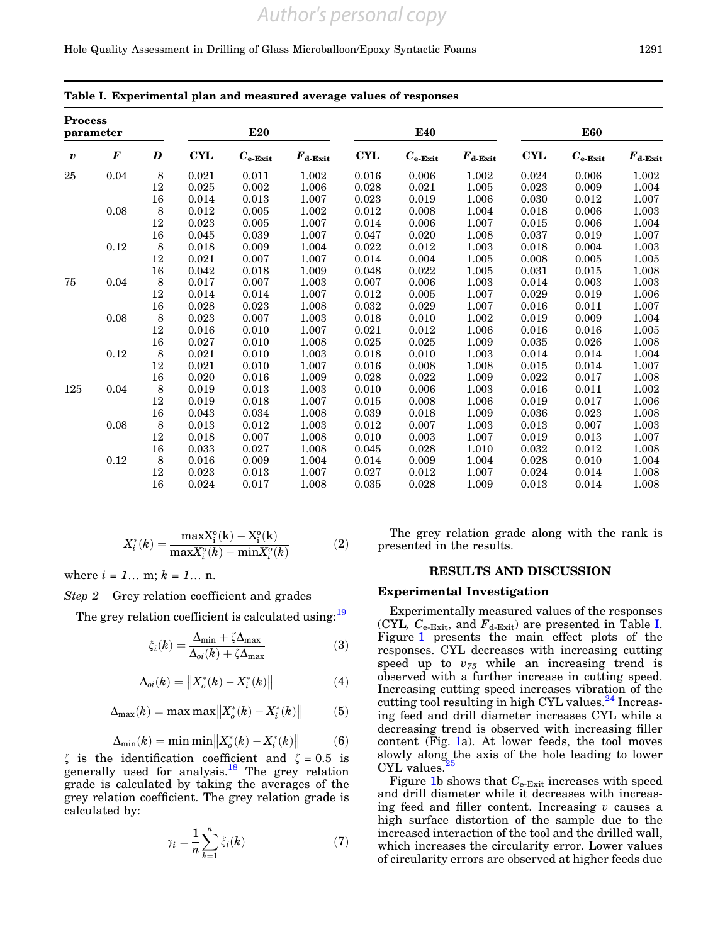#### <span id="page-4-0"></span>Hole Quality Assessment in Drilling of Glass Microballoon/Epoxy Syntactic Foams 1291

| <b>Process</b><br>parameter |            |                         |       | <b>E20</b>                    |                  |             | <b>E40</b>       |                  | <b>E60</b> |                                   |                       |  |
|-----------------------------|------------|-------------------------|-------|-------------------------------|------------------|-------------|------------------|------------------|------------|-----------------------------------|-----------------------|--|
| $\boldsymbol{v}$            | $\pmb{F}$  | $\overline{\mathbf{D}}$ | CYL   | $\boldsymbol{C_{\rm e-Exit}}$ | $F_{\rm d-Exit}$ | <b>CYL</b>  | $C_{\rm e-Exit}$ | $F_{\rm d-Exit}$ | <b>CYL</b> | $\boldsymbol{C_\mathrm{e\_Exit}}$ | $F_{\mathrm{d-Exit}}$ |  |
| 25                          | 0.04       | $\,8\,$                 | 0.021 | 0.011                         | 1.002            | 0.016       | 0.006            | 1.002            | 0.024      | 0.006                             | 1.002                 |  |
|                             |            | $12\,$                  | 0.025 | 0.002                         | 1.006            | 0.028       | 0.021            | 1.005            | 0.023      | 0.009                             | 1.004                 |  |
|                             |            | $16\,$                  | 0.014 | 0.013                         | 1.007            | 0.023       | 0.019            | 1.006            | 0.030      | 0.012                             | 1.007                 |  |
|                             | $0.08\,$   | $\,8\,$                 | 0.012 | 0.005                         | 1.002            | 0.012       | 0.008            | 1.004            | 0.018      | 0.006                             | 1.003                 |  |
|                             |            | $12\,$                  | 0.023 | 0.005                         | 1.007            | 0.014       | 0.006            | 1.007            | 0.015      | 0.006                             | 1.004                 |  |
|                             |            | $16\,$                  | 0.045 | 0.039                         | 1.007            | 0.047       | 0.020            | 1.008            | 0.037      | 0.019                             | 1.007                 |  |
|                             | 0.12       | $\,8\,$                 | 0.018 | 0.009                         | 1.004            | 0.022       | 0.012            | 1.003            | 0.018      | 0.004                             | 1.003                 |  |
|                             |            | $12\,$                  | 0.021 | 0.007                         | 1.007            | 0.014       | 0.004            | 1.005            | 0.008      | 0.005                             | 1.005                 |  |
|                             |            | $16\,$                  | 0.042 | 0.018                         | 1.009            | 0.048       | 0.022            | 1.005            | 0.031      | 0.015                             | 1.008                 |  |
| 75                          | 0.04       | 8                       | 0.017 | 0.007                         | 1.003            | 0.007       | 0.006            | 1.003            | 0.014      | 0.003                             | 1.003                 |  |
|                             |            | $12\,$                  | 0.014 | 0.014                         | 1.007            | 0.012       | 0.005            | 1.007            | 0.029      | 0.019                             | 1.006                 |  |
|                             |            | $16\,$                  | 0.028 | 0.023                         | 1.008            | 0.032       | 0.029            | 1.007            | 0.016      | 0.011                             | 1.007                 |  |
|                             | 0.08       | $\,8\,$                 | 0.023 | 0.007                         | 1.003            | 0.018       | 0.010            | 1.002            | 0.019      | 0.009                             | 1.004                 |  |
|                             |            | $12\,$                  | 0.016 | 0.010                         | 1.007            | 0.021       | 0.012            | 1.006            | 0.016      | 0.016                             | 1.005                 |  |
|                             |            | $16\,$                  | 0.027 | 0.010                         | 1.008            | $\,0.025\,$ | 0.025            | 1.009            | 0.035      | 0.026                             | 1.008                 |  |
|                             | $\rm 0.12$ | $\,8\,$                 | 0.021 | 0.010                         | 1.003            | 0.018       | 0.010            | 1.003            | 0.014      | 0.014                             | 1.004                 |  |
|                             |            | 12                      | 0.021 | 0.010                         | 1.007            | 0.016       | 0.008            | 1.008            | 0.015      | 0.014                             | 1.007                 |  |
|                             |            | $16\,$                  | 0.020 | 0.016                         | 1.009            | 0.028       | 0.022            | 1.009            | 0.022      | 0.017                             | 1.008                 |  |
| 125                         | 0.04       | 8                       | 0.019 | 0.013                         | 1.003            | 0.010       | 0.006            | 1.003            | 0.016      | 0.011                             | 1.002                 |  |
|                             |            | $12\,$                  | 0.019 | 0.018                         | 1.007            | 0.015       | 0.008            | 1.006            | 0.019      | 0.017                             | 1.006                 |  |
|                             |            | $16\,$                  | 0.043 | 0.034                         | 1.008            | 0.039       | 0.018            | 1.009            | 0.036      | 0.023                             | 1.008                 |  |
|                             | 0.08       | $\,8\,$                 | 0.013 | 0.012                         | 1.003            | 0.012       | 0.007            | 1.003            | 0.013      | 0.007                             | 1.003                 |  |
|                             |            | 12                      | 0.018 | 0.007                         | 1.008            | 0.010       | 0.003            | 1.007            | 0.019      | 0.013                             | 1.007                 |  |
|                             |            | $16\,$                  | 0.033 | 0.027                         | 1.008            | 0.045       | 0.028            | 1.010            | 0.032      | 0.012                             | 1.008                 |  |
|                             | $0.12\,$   | 8                       | 0.016 | 0.009                         | 1.004            | 0.014       | 0.009            | 1.004            | 0.028      | 0.010                             | 1.004                 |  |
|                             |            | $12\,$                  | 0.023 | 0.013                         | 1.007            | 0.027       | 0.012            | 1.007            | 0.024      | 0.014                             | 1.008                 |  |
|                             |            | 16                      | 0.024 | 0.017                         | 1.008            | 0.035       | 0.028            | 1.009            | 0.013      | 0.014                             | 1.008                 |  |

# Table I. Experimental plan and measured average values of responses

$$
X_{i}^{*}(k) = \frac{\max_{i}^{0}(k) - X_{i}^{0}(k)}{\max_{i}^{0}(k) - \min_{i}^{0}(k)}
$$
(2)

where  $i = 1...$  m;  $k = 1...$  n.

Step 2 Grey relation coefficient and grades

The grey relation coefficient is calculated using:<sup>19</sup>

$$
\zeta_i(k) = \frac{\Delta_{\min} + \zeta \Delta_{\max}}{\Delta_{oi}(k) + \zeta \Delta_{\max}} \tag{3}
$$

$$
\Delta_{oi}(k) = \|X^*_o(k) - X^*_i(k)\| \tag{4}
$$

$$
\Delta_{\max}(k) = \max \max \left\| X_o^*(k) - X_i^*(k) \right\| \tag{5}
$$

$$
\Delta_{\min}(k) = \min \min \left\| X_o^*(k) - X_i^*(k) \right\| \tag{6}
$$

 $\zeta$  is the identification coefficient and  $\zeta = 0.5$  is generally used for analysis.<sup>[18](#page-7-0)</sup> The grey relation grade is calculated by taking the averages of the grey relation coefficient. The grey relation grade is calculated by:

$$
\gamma_i = \frac{1}{n} \sum_{k=1}^n \xi_i(k) \tag{7}
$$

The grey relation grade along with the rank is presented in the results.

# RESULTS AND DISCUSSION

### Experimental Investigation

Experimentally measured values of the responses (CYL,  $C_{e\text{-Exit}}$ , and  $F_{d\text{-Exit}}$ ) are presented in Table I. Figure [1](#page-5-0) presents the main effect plots of the responses. CYL decreases with increasing cutting speed up to  $v_{75}$  while an increasing trend is observed with a further increase in cutting speed. Increasing cutting speed increases vibration of the cutting tool resulting in high CYL values. $^{24}$  $^{24}$  $^{24}$  Increasing feed and drill diameter increases CYL while a decreasing trend is observed with increasing filler content (Fig. [1](#page-5-0)a). At lower feeds, the tool moves slowly along the axis of the hole leading to lower  $CYL$  values.<sup>2</sup>

Figure [1](#page-5-0)b shows that  $C_{e\text{-}Exit}$  increases with speed and drill diameter while it decreases with increasing feed and filler content. Increasing  $v$  causes a high surface distortion of the sample due to the increased interaction of the tool and the drilled wall, which increases the circularity error. Lower values of circularity errors are observed at higher feeds due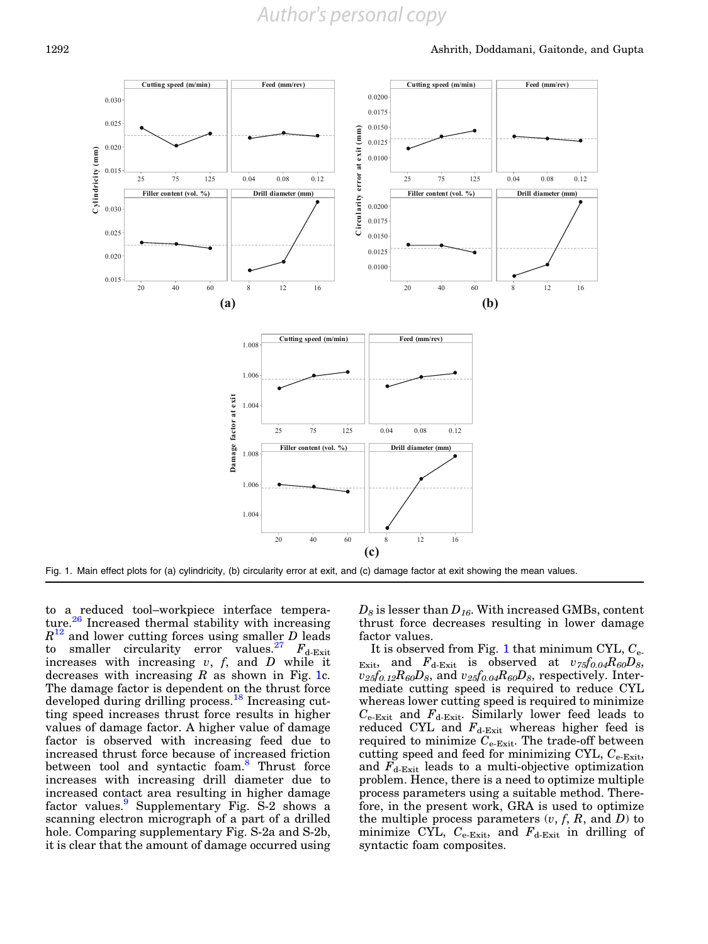<span id="page-5-0"></span>

Fig. 1. Main effect plots for (a) cylindricity, (b) circularity error at exit, and (c) damage factor at exit showing the mean values.

to a reduced tool–workpiece interface tempera-ture.<sup>[26](#page-7-0)</sup> Increased thermal stability with increasing  $R^{12}$  $R^{12}$  $R^{12}$  and lower cutting forces using smaller D leads to smaller circularity error values.<sup>[27](#page-7-0)</sup>  $F_{d\text{-}Exit}$ increases with increasing  $v, f,$  and  $D$  while it decreases with increasing  $R$  as shown in Fig. 1c. The damage factor is dependent on the thrust force developed during drilling process.<sup>[18](#page-7-0)</sup> Increasing cutting speed increases thrust force results in higher values of damage factor. A higher value of damage factor is observed with increasing feed due to increased thrust force because of increased friction between tool and syntactic foam.<sup>[8](#page-7-0)</sup> Thrust force increases with increasing drill diameter due to increased contact area resulting in higher damage factor values.<sup>[9](#page-7-0)</sup> Supplementary Fig. S-2 shows a scanning electron micrograph of a part of a drilled hole. Comparing supplementary Fig. S-2a and S-2b, it is clear that the amount of damage occurred using  $D_8$  is lesser than  $D_{16}$ . With increased GMBs, content thrust force decreases resulting in lower damage factor values.

It is observed from Fig. 1 that minimum CYL,  $C_{e}$ . Exit, and  $F_{d\text{-}Exit}$  is observed at  $v_{75}f_{0.04}R_{60}D_8$ ,  $v_{25}f_{0.12}R_{60}D_8$ , and  $v_{25}f_{0.04}R_{60}D_8$ , respectively. Intermediate cutting speed is required to reduce CYL whereas lower cutting speed is required to minimize  $C_{\text{e-Exit}}$  and  $F_{\text{d-Exit}}$ . Similarly lower feed leads to reduced CYL and  $F_{\textnormal{d-Ext}}$  whereas higher feed is required to minimize  $C_{\text{e-Exit}}$ . The trade-off between cutting speed and feed for minimizing CYL,  $C_{e\text{-}Exit}$ , and  $F_{d\text{-}Exit}$  leads to a multi-objective optimization problem. Hence, there is a need to optimize multiple process parameters using a suitable method. Therefore, in the present work, GRA is used to optimize the multiple process parameters  $(v, f, R, \text{ and } D)$  to minimize CYL,  $C_{e\text{-Exit}}$  and  $F_{d\text{-Exit}}$  in drilling of syntactic foam composites.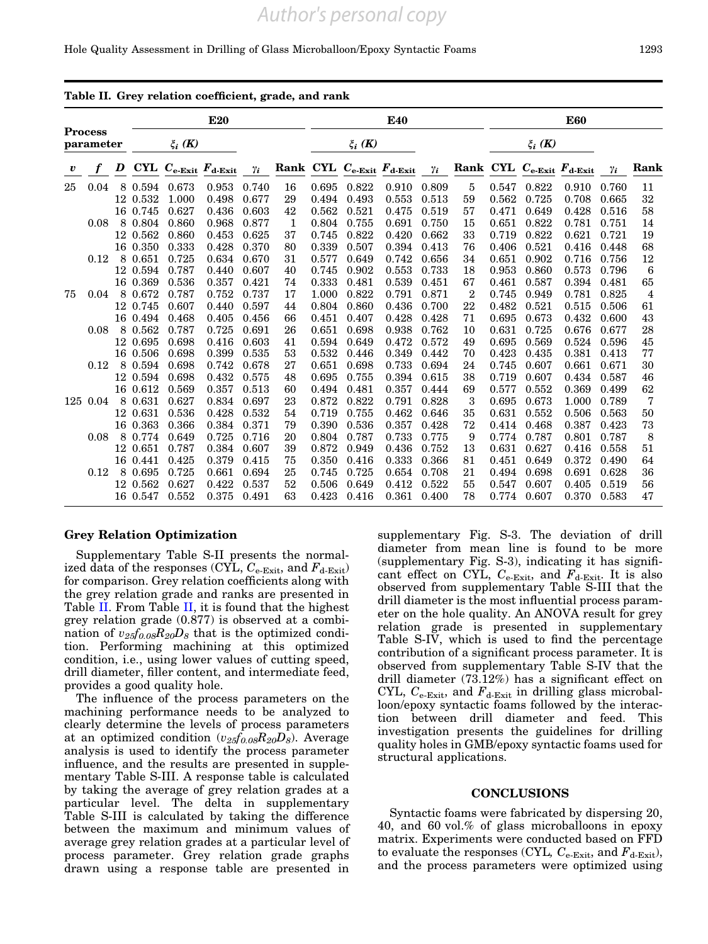# *Author's personal copy*

#### Hole Quality Assessment in Drilling of Glass Microballoon/Epoxy Syntactic Foams 1293

|                             |          |   | <b>E20</b>  |                                             |       |            |              |             | E40   |                          |            |                |             | <b>E60</b>               |       |            |      |  |  |
|-----------------------------|----------|---|-------------|---------------------------------------------|-------|------------|--------------|-------------|-------|--------------------------|------------|----------------|-------------|--------------------------|-------|------------|------|--|--|
| <b>Process</b><br>parameter |          |   | $\xi_i$ (K) |                                             |       |            |              | $\xi_i$ (K) |       |                          |            |                | $\xi_i$ (K) |                          |       |            |      |  |  |
| $\boldsymbol{v}$            |          | D |             | CYL $C_{e\text{-Exit}}$ $F_{d\text{-Exit}}$ |       | $\gamma_i$ |              |             |       | Rank CYL Ce-Exit Fd-Exit | $\gamma_i$ |                |             | Rank CYL Ce-Exit Fd-Exit |       | $\gamma_i$ | Rank |  |  |
| 25                          | 0.04     |   | 8 0.594     | 0.673                                       | 0.953 | 0.740      | 16           | 0.695       | 0.822 | 0.910                    | 0.809      | $\overline{5}$ | 0.547       | 0.822                    | 0.910 | 0.760      | 11   |  |  |
|                             |          |   | 12 0.532    | 1.000                                       | 0.498 | 0.677      | 29           | 0.494       | 0.493 | 0.553                    | 0.513      | 59             | 0.562       | 0.725                    | 0.708 | 0.665      | 32   |  |  |
|                             |          |   | 16 0.745    | 0.627                                       | 0.436 | 0.603      | 42           | 0.562       | 0.521 | 0.475                    | 0.519      | 57             | 0.471       | 0.649                    | 0.428 | 0.516      | 58   |  |  |
|                             | 0.08     |   | 8 0.804     | 0.860                                       | 0.968 | 0.877      | $\mathbf{1}$ | 0.804       | 0.755 | 0.691                    | 0.750      | 15             | 0.651       | 0.822                    | 0.781 | 0.751      | 14   |  |  |
|                             |          |   | 12 0.562    | 0.860                                       | 0.453 | 0.625      | 37           | 0.745       | 0.822 | 0.420                    | 0.662      | 33             | 0.719       | 0.822                    | 0.621 | 0.721      | 19   |  |  |
|                             |          |   | 16 0.350    | 0.333                                       | 0.428 | 0.370      | 80           | 0.339       | 0.507 | 0.394                    | 0.413      | 76             | 0.406       | 0.521                    | 0.416 | 0.448      | 68   |  |  |
|                             | 0.12     |   | 8 0.651     | 0.725                                       | 0.634 | 0.670      | 31           | 0.577       | 0.649 | 0.742                    | 0.656      | 34             | 0.651       | 0.902                    | 0.716 | 0.756      | 12   |  |  |
|                             |          |   | 12 0.594    | 0.787                                       | 0.440 | 0.607      | 40           | 0.745       | 0.902 | 0.553                    | 0.733      | 18             | 0.953       | 0.860                    | 0.573 | 0.796      | 6    |  |  |
|                             |          |   | 16 0.369    | 0.536                                       | 0.357 | 0.421      | 74           | 0.333       | 0.481 | 0.539                    | 0.451      | 67             | 0.461       | 0.587                    | 0.394 | 0.481      | 65   |  |  |
| 75                          | 0.04     |   | 8 0.672     | 0.787                                       | 0.752 | 0.737      | 17           | 1.000       | 0.822 | 0.791                    | 0.871      | $\overline{2}$ | 0.745       | 0.949                    | 0.781 | 0.825      | 4    |  |  |
|                             |          |   | 12 0.745    | 0.607                                       | 0.440 | 0.597      | 44           | 0.804       | 0.860 | 0.436                    | 0.700      | 22             | 0.482       | 0.521                    | 0.515 | 0.506      | 61   |  |  |
|                             |          |   | 16 0.494    | 0.468                                       | 0.405 | 0.456      | 66           | 0.451       | 0.407 | 0.428                    | 0.428      | 71             | 0.695       | 0.673                    | 0.432 | 0.600      | 43   |  |  |
|                             | 0.08     |   | 8 0.562     | 0.787                                       | 0.725 | 0.691      | 26           | 0.651       | 0.698 | 0.938                    | 0.762      | 10             | 0.631       | 0.725                    | 0.676 | 0.677      | 28   |  |  |
|                             |          |   | 12 0.695    | 0.698                                       | 0.416 | 0.603      | 41           | 0.594       | 0.649 | 0.472                    | 0.572      | 49             | 0.695       | 0.569                    | 0.524 | 0.596      | 45   |  |  |
|                             |          |   | 16 0.506    | 0.698                                       | 0.399 | 0.535      | 53           | 0.532       | 0.446 | 0.349                    | 0.442      | 70             | 0.423       | 0.435                    | 0.381 | 0.413      | 77   |  |  |
|                             | 0.12     |   | 8 0.594     | 0.698                                       | 0.742 | 0.678      | 27           | 0.651       | 0.698 | 0.733                    | 0.694      | 24             | 0.745       | 0.607                    | 0.661 | 0.671      | 30   |  |  |
|                             |          |   | 12 0.594    | 0.698                                       | 0.432 | 0.575      | 48           | 0.695       | 0.755 | 0.394                    | 0.615      | 38             | 0.719       | 0.607                    | 0.434 | 0.587      | 46   |  |  |
|                             |          |   | 16 0.612    | 0.569                                       | 0.357 | 0.513      | 60           | 0.494       | 0.481 | 0.357                    | 0.444      | 69             | 0.577       | 0.552                    | 0.369 | 0.499      | 62   |  |  |
|                             | 125 0.04 |   | 8 0.631     | 0.627                                       | 0.834 | 0.697      | 23           | 0.872       | 0.822 | 0.791                    | 0.828      | 3              | 0.695       | 0.673                    | 1.000 | 0.789      | 7    |  |  |
|                             |          |   | 12 0.631    | 0.536                                       | 0.428 | 0.532      | 54           | 0.719       | 0.755 | 0.462                    | 0.646      | 35             | 0.631       | 0.552                    | 0.506 | 0.563      | 50   |  |  |
|                             |          |   | 16 0.363    | 0.366                                       | 0.384 | 0.371      | 79           | 0.390       | 0.536 | 0.357                    | 0.428      | 72             | 0.414       | 0.468                    | 0.387 | 0.423      | 73   |  |  |
|                             | 0.08     |   | 8 0.774     | 0.649                                       | 0.725 | 0.716      | 20           | 0.804       | 0.787 | 0.733                    | 0.775      | 9              | 0.774       | 0.787                    | 0.801 | 0.787      | 8    |  |  |
|                             |          |   | 12 0.651    | 0.787                                       | 0.384 | 0.607      | 39           | 0.872       | 0.949 | 0.436                    | 0.752      | 13             | 0.631       | 0.627                    | 0.416 | 0.558      | 51   |  |  |
|                             |          |   | 16 0.441    | 0.425                                       | 0.379 | 0.415      | 75           | 0.350       | 0.416 | 0.333                    | 0.366      | 81             | 0.451       | 0.649                    | 0.372 | 0.490      | 64   |  |  |
|                             | 0.12     |   | 8 0.695     | 0.725                                       | 0.661 | 0.694      | 25           | 0.745       | 0.725 | 0.654                    | 0.708      | 21             | 0.494       | 0.698                    | 0.691 | 0.628      | 36   |  |  |
|                             |          |   | 12 0.562    | 0.627                                       | 0.422 | 0.537      | 52           | 0.506       | 0.649 | 0.412                    | 0.522      | 55             | 0.547       | 0.607                    | 0.405 | 0.519      | 56   |  |  |
|                             |          |   | 16 0.547    | 0.552                                       | 0.375 | 0.491      | 63           | 0.423       | 0.416 | 0.361                    | 0.400      | 78             |             | 0.774 0.607              | 0.370 | 0.583      | 47   |  |  |

#### Table II. Grey relation coefficient, grade, and rank

#### Grey Relation Optimization

Supplementary Table S-II presents the normalized data of the responses (CYL,  $C_{e\text{-}Exit}$ , and  $F_{d\text{-}Exit}$ ) for comparison. Grey relation coefficients along with the grey relation grade and ranks are presented in Table II. From Table II, it is found that the highest grey relation grade (0.877) is observed at a combination of  $v_{25}f_{0.08}R_{20}D_8$  that is the optimized condition. Performing machining at this optimized condition, i.e., using lower values of cutting speed, drill diameter, filler content, and intermediate feed, provides a good quality hole.

The influence of the process parameters on the machining performance needs to be analyzed to clearly determine the levels of process parameters at an optimized condition  $(v_{25}f_{0.08}R_{20}D_8)$ . Average analysis is used to identify the process parameter influence, and the results are presented in supplementary Table S-III. A response table is calculated by taking the average of grey relation grades at a particular level. The delta in supplementary Table S-III is calculated by taking the difference between the maximum and minimum values of average grey relation grades at a particular level of process parameter. Grey relation grade graphs drawn using a response table are presented in

supplementary Fig. S-3. The deviation of drill diameter from mean line is found to be more (supplementary Fig. S-3), indicating it has significant effect on CYL,  $C_{e\text{-Exit}}$ , and  $F_{d\text{-Exit}}$ . It is also observed from supplementary Table S-III that the drill diameter is the most influential process parameter on the hole quality. An ANOVA result for grey relation grade is presented in supplementary Table S-IV, which is used to find the percentage contribution of a significant process parameter. It is observed from supplementary Table S-IV that the drill diameter (73.12%) has a significant effect on CYL,  $C_{e\text{-Exit}}$ , and  $F_{d\text{-Exit}}$  in drilling glass microballoon/epoxy syntactic foams followed by the interaction between drill diameter and feed. This investigation presents the guidelines for drilling quality holes in GMB/epoxy syntactic foams used for structural applications.

# **CONCLUSIONS**

Syntactic foams were fabricated by dispersing 20, 40, and 60 vol.% of glass microballoons in epoxy matrix. Experiments were conducted based on FFD to evaluate the responses (CYL,  $C_{e\text{-Exit}}$ , and  $F_{d\text{-Exit}}$ ), and the process parameters were optimized using